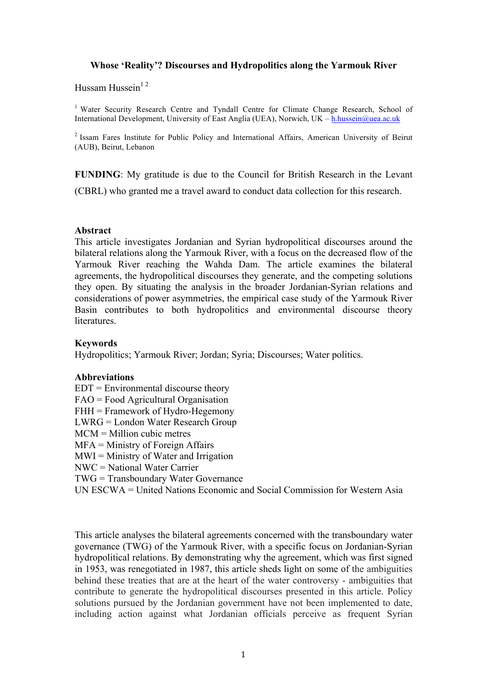## **Whose 'Reality'? Discourses and Hydropolitics along the Yarmouk River**

Hussam Hussein $12$ 

<sup>1</sup> Water Security Research Centre and Tyndall Centre for Climate Change Research, School of International Development, University of East Anglia (UEA), Norwich, UK – h.hussein@uea.ac.uk

2 Issam Fares Institute for Public Policy and International Affairs, American University of Beirut (AUB), Beirut, Lebanon

**FUNDING**: My gratitude is due to the Council for British Research in the Levant

(CBRL) who granted me a travel award to conduct data collection for this research.

## **Abstract**

This article investigates Jordanian and Syrian hydropolitical discourses around the bilateral relations along the Yarmouk River, with a focus on the decreased flow of the Yarmouk River reaching the Wahda Dam. The article examines the bilateral agreements, the hydropolitical discourses they generate, and the competing solutions they open. By situating the analysis in the broader Jordanian-Syrian relations and considerations of power asymmetries, the empirical case study of the Yarmouk River Basin contributes to both hydropolitics and environmental discourse theory literatures.

## **Keywords**

Hydropolitics; Yarmouk River; Jordan; Syria; Discourses; Water politics.

# **Abbreviations**

 $EDT = Environmental$  discourse theory FAO = Food Agricultural Organisation FHH = Framework of Hydro-Hegemony LWRG = London Water Research Group MCM = Million cubic metres MFA = Ministry of Foreign Affairs  $MWI =$ Ministry of Water and Irrigation NWC = National Water Carrier TWG = Transboundary Water Governance

UN ESCWA = United Nations Economic and Social Commission for Western Asia

This article analyses the bilateral agreements concerned with the transboundary water governance (TWG) of the Yarmouk River, with a specific focus on Jordanian-Syrian hydropolitical relations. By demonstrating why the agreement, which was first signed in 1953, was renegotiated in 1987, this article sheds light on some of the ambiguities behind these treaties that are at the heart of the water controversy - ambiguities that contribute to generate the hydropolitical discourses presented in this article. Policy solutions pursued by the Jordanian government have not been implemented to date, including action against what Jordanian officials perceive as frequent Syrian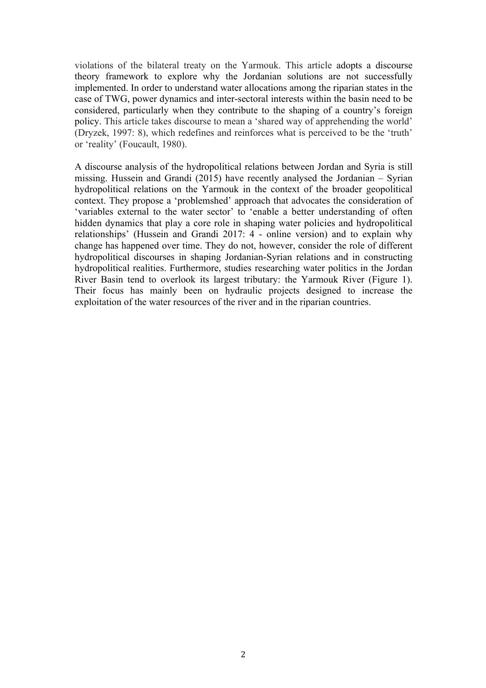violations of the bilateral treaty on the Yarmouk. This article adopts a discourse theory framework to explore why the Jordanian solutions are not successfully implemented. In order to understand water allocations among the riparian states in the case of TWG, power dynamics and inter-sectoral interests within the basin need to be considered, particularly when they contribute to the shaping of a country's foreign policy. This article takes discourse to mean a 'shared way of apprehending the world' (Dryzek, 1997: 8), which redefines and reinforces what is perceived to be the 'truth' or 'reality' (Foucault, 1980).

A discourse analysis of the hydropolitical relations between Jordan and Syria is still missing. Hussein and Grandi (2015) have recently analysed the Jordanian – Syrian hydropolitical relations on the Yarmouk in the context of the broader geopolitical context. They propose a 'problemshed' approach that advocates the consideration of 'variables external to the water sector' to 'enable a better understanding of often hidden dynamics that play a core role in shaping water policies and hydropolitical relationships' (Hussein and Grandi 2017: 4 - online version) and to explain why change has happened over time. They do not, however, consider the role of different hydropolitical discourses in shaping Jordanian-Syrian relations and in constructing hydropolitical realities. Furthermore, studies researching water politics in the Jordan River Basin tend to overlook its largest tributary: the Yarmouk River (Figure 1). Their focus has mainly been on hydraulic projects designed to increase the exploitation of the water resources of the river and in the riparian countries.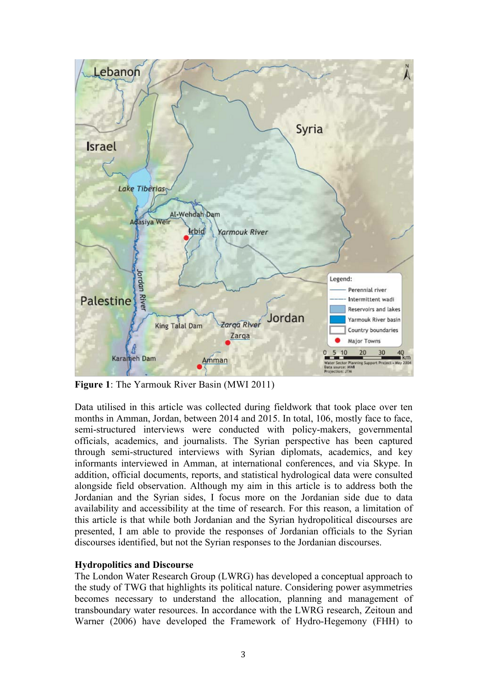

**Figure 1**: The Yarmouk River Basin (MWI 2011)

Data utilised in this article was collected during fieldwork that took place over ten months in Amman, Jordan, between 2014 and 2015. In total, 106, mostly face to face, semi-structured interviews were conducted with policy-makers, governmental officials, academics, and journalists. The Syrian perspective has been captured through semi-structured interviews with Syrian diplomats, academics, and key informants interviewed in Amman, at international conferences, and via Skype. In addition, official documents, reports, and statistical hydrological data were consulted alongside field observation. Although my aim in this article is to address both the Jordanian and the Syrian sides, I focus more on the Jordanian side due to data availability and accessibility at the time of research. For this reason, a limitation of this article is that while both Jordanian and the Syrian hydropolitical discourses are presented, I am able to provide the responses of Jordanian officials to the Syrian discourses identified, but not the Syrian responses to the Jordanian discourses.

# **Hydropolitics and Discourse**

The London Water Research Group (LWRG) has developed a conceptual approach to the study of TWG that highlights its political nature. Considering power asymmetries becomes necessary to understand the allocation, planning and management of transboundary water resources. In accordance with the LWRG research, Zeitoun and Warner (2006) have developed the Framework of Hydro-Hegemony (FHH) to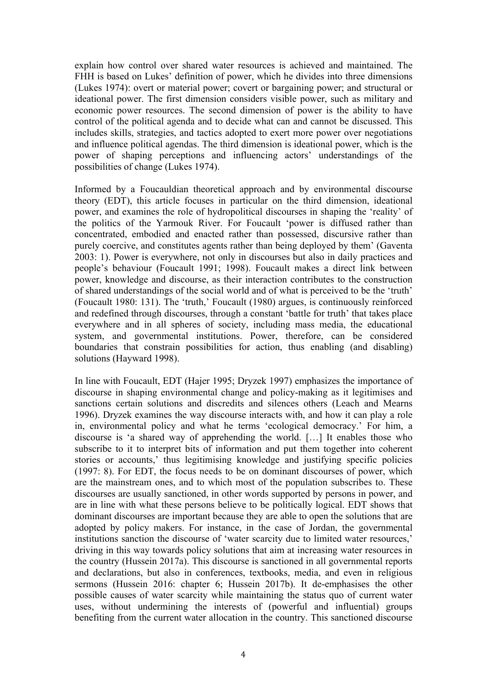explain how control over shared water resources is achieved and maintained. The FHH is based on Lukes' definition of power, which he divides into three dimensions (Lukes 1974): overt or material power; covert or bargaining power; and structural or ideational power. The first dimension considers visible power, such as military and economic power resources. The second dimension of power is the ability to have control of the political agenda and to decide what can and cannot be discussed. This includes skills, strategies, and tactics adopted to exert more power over negotiations and influence political agendas. The third dimension is ideational power, which is the power of shaping perceptions and influencing actors' understandings of the possibilities of change (Lukes 1974).

Informed by a Foucauldian theoretical approach and by environmental discourse theory (EDT), this article focuses in particular on the third dimension, ideational power, and examines the role of hydropolitical discourses in shaping the 'reality' of the politics of the Yarmouk River. For Foucault 'power is diffused rather than concentrated, embodied and enacted rather than possessed, discursive rather than purely coercive, and constitutes agents rather than being deployed by them' (Gaventa 2003: 1). Power is everywhere, not only in discourses but also in daily practices and people's behaviour (Foucault 1991; 1998). Foucault makes a direct link between power, knowledge and discourse, as their interaction contributes to the construction of shared understandings of the social world and of what is perceived to be the 'truth' (Foucault 1980: 131). The 'truth,' Foucault (1980) argues, is continuously reinforced and redefined through discourses, through a constant 'battle for truth' that takes place everywhere and in all spheres of society, including mass media, the educational system, and governmental institutions. Power, therefore, can be considered boundaries that constrain possibilities for action, thus enabling (and disabling) solutions (Hayward 1998).

In line with Foucault, EDT (Hajer 1995; Dryzek 1997) emphasizes the importance of discourse in shaping environmental change and policy-making as it legitimises and sanctions certain solutions and discredits and silences others (Leach and Mearns 1996). Dryzek examines the way discourse interacts with, and how it can play a role in, environmental policy and what he terms 'ecological democracy.' For him, a discourse is 'a shared way of apprehending the world. […] It enables those who subscribe to it to interpret bits of information and put them together into coherent stories or accounts,' thus legitimising knowledge and justifying specific policies (1997: 8). For EDT, the focus needs to be on dominant discourses of power, which are the mainstream ones, and to which most of the population subscribes to. These discourses are usually sanctioned, in other words supported by persons in power, and are in line with what these persons believe to be politically logical. EDT shows that dominant discourses are important because they are able to open the solutions that are adopted by policy makers. For instance, in the case of Jordan, the governmental institutions sanction the discourse of 'water scarcity due to limited water resources,' driving in this way towards policy solutions that aim at increasing water resources in the country (Hussein 2017a). This discourse is sanctioned in all governmental reports and declarations, but also in conferences, textbooks, media, and even in religious sermons (Hussein 2016: chapter 6; Hussein 2017b). It de-emphasises the other possible causes of water scarcity while maintaining the status quo of current water uses, without undermining the interests of (powerful and influential) groups benefiting from the current water allocation in the country. This sanctioned discourse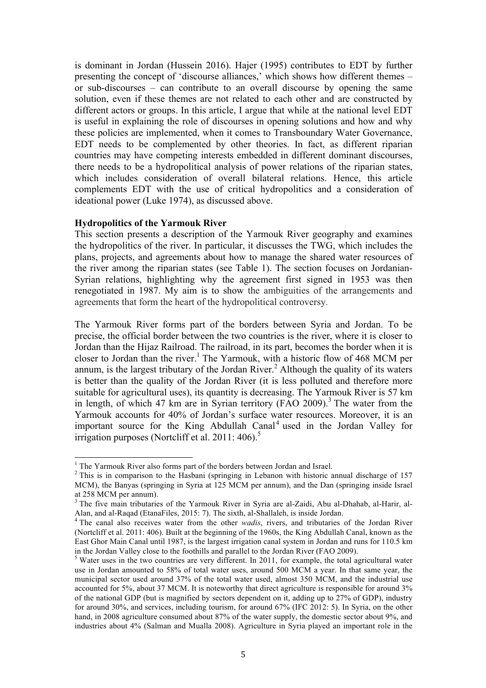is dominant in Jordan (Hussein 2016). Hajer (1995) contributes to EDT by further presenting the concept of 'discourse alliances,' which shows how different themes – or sub-discourses – can contribute to an overall discourse by opening the same solution, even if these themes are not related to each other and are constructed by different actors or groups. In this article, I argue that while at the national level EDT is useful in explaining the role of discourses in opening solutions and how and why these policies are implemented, when it comes to Transboundary Water Governance, EDT needs to be complemented by other theories. In fact, as different riparian countries may have competing interests embedded in different dominant discourses, there needs to be a hydropolitical analysis of power relations of the riparian states, which includes consideration of overall bilateral relations. Hence, this article complements EDT with the use of critical hydropolitics and a consideration of ideational power (Luke 1974), as discussed above.

### **Hydropolitics of the Yarmouk River**

This section presents a description of the Yarmouk River geography and examines the hydropolitics of the river. In particular, it discusses the TWG, which includes the plans, projects, and agreements about how to manage the shared water resources of the river among the riparian states (see Table 1). The section focuses on Jordanian-Syrian relations, highlighting why the agreement first signed in 1953 was then renegotiated in 1987. My aim is to show the ambiguities of the arrangements and agreements that form the heart of the hydropolitical controversy.

The Yarmouk River forms part of the borders between Syria and Jordan. To be precise, the official border between the two countries is the river, where it is closer to Jordan than the Hijaz Railroad. The railroad, in its part, becomes the border when it is closer to Jordan than the river. <sup>1</sup> The Yarmouk, with a historic flow of 468 MCM per annum, is the largest tributary of the Jordan River. <sup>2</sup> Although the quality of its waters is better than the quality of the Jordan River (it is less polluted and therefore more suitable for agricultural uses), its quantity is decreasing. The Yarmouk River is 57 km in length, of which 47 km are in Syrian territory (FAO 2009). <sup>3</sup> The water from the Yarmouk accounts for 40% of Jordan's surface water resources. Moreover, it is an important source for the King Abdullah Canal<sup>4</sup> used in the Jordan Valley for irrigation purposes (Nortcliff et al. 2011: 406). 5

<sup>&</sup>lt;sup>1</sup> The Yarmouk River also forms part of the borders between Jordan and Israel.

 $2$ <sup>2</sup> This is in comparison to the Hasbani (springing in Lebanon with historic annual discharge of 157 MCM), the Banyas (springing in Syria at 125 MCM per annum), and the Dan (springing inside Israel at 258 MCM per annum).

<sup>&</sup>lt;sup>3</sup> The five main tributaries of the Yarmouk River in Syria are al-Zaidi, Abu al-Dhahab, al-Harir, al-Alan, and al-Raqad (EtanaFiles, 2015: 7). The sixth, al-Shallaleh, is inside Jordan. 4 The canal also receives water from the other *wadis*, rivers, and tributaries of the Jordan River

<sup>(</sup>Nortcliff et al. 2011: 406). Built at the beginning of the 1960s, the King Abdullah Canal, known as the East Ghor Main Canal until 1987, is the largest irrigation canal system in Jordan and runs for 110.5 km in the Jordan Valley close to the foothills and parallel to the Jordan River (FAO 2009).<br><sup>5</sup> Water uses in the two countries are very different. In 2011, for example, the total agricultural water

use in Jordan amounted to 58% of total water uses, around 500 MCM a year. In that same year, the municipal sector used around 37% of the total water used, almost 350 MCM, and the industrial use accounted for 5%, about 37 MCM. It is noteworthy that direct agriculture is responsible for around 3% of the national GDP (but is magnified by sectors dependent on it, adding up to 27% of GDP), industry for around 30%, and services, including tourism, for around 67% (IFC 2012: 5). In Syria, on the other hand, in 2008 agriculture consumed about 87% of the water supply, the domestic sector about 9%, and industries about 4% (Salman and Mualla 2008). Agriculture in Syria played an important role in the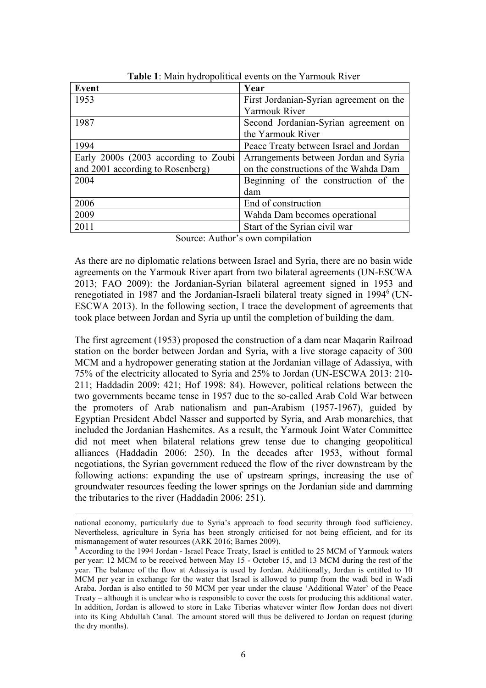| Event                                | Year                                    |
|--------------------------------------|-----------------------------------------|
| 1953                                 | First Jordanian-Syrian agreement on the |
|                                      | <b>Yarmouk River</b>                    |
| 1987                                 | Second Jordanian-Syrian agreement on    |
|                                      | the Yarmouk River                       |
| 1994                                 | Peace Treaty between Israel and Jordan  |
| Early 2000s (2003 according to Zoubi | Arrangements between Jordan and Syria   |
| and 2001 according to Rosenberg)     | on the constructions of the Wahda Dam   |
| 2004                                 | Beginning of the construction of the    |
|                                      | dam                                     |
| 2006                                 | End of construction                     |
| 2009                                 | Wahda Dam becomes operational           |
| 2011                                 | Start of the Syrian civil war           |

Source: Author's own compilation

As there are no diplomatic relations between Israel and Syria, there are no basin wide agreements on the Yarmouk River apart from two bilateral agreements (UN-ESCWA 2013; FAO 2009): the Jordanian-Syrian bilateral agreement signed in 1953 and renegotiated in 1987 and the Jordanian-Israeli bilateral treaty signed in  $1994<sup>6</sup>$  (UN-ESCWA 2013). In the following section, I trace the development of agreements that took place between Jordan and Syria up until the completion of building the dam.

The first agreement (1953) proposed the construction of a dam near Maqarin Railroad station on the border between Jordan and Syria, with a live storage capacity of 300 MCM and a hydropower generating station at the Jordanian village of Adassiya, with 75% of the electricity allocated to Syria and 25% to Jordan (UN-ESCWA 2013: 210- 211; Haddadin 2009: 421; Hof 1998: 84). However, political relations between the two governments became tense in 1957 due to the so-called Arab Cold War between the promoters of Arab nationalism and pan-Arabism (1957-1967), guided by Egyptian President Abdel Nasser and supported by Syria, and Arab monarchies, that included the Jordanian Hashemites. As a result, the Yarmouk Joint Water Committee did not meet when bilateral relations grew tense due to changing geopolitical alliances (Haddadin 2006: 250). In the decades after 1953, without formal negotiations, the Syrian government reduced the flow of the river downstream by the following actions: expanding the use of upstream springs, increasing the use of groundwater resources feeding the lower springs on the Jordanian side and damming the tributaries to the river (Haddadin 2006: 251).

<u> Andreas Andreas Andreas Andreas Andreas Andreas Andreas Andreas Andreas Andreas Andreas Andreas Andreas Andr</u>

national economy, particularly due to Syria's approach to food security through food sufficiency. Nevertheless, agriculture in Syria has been strongly criticised for not being efficient, and for its mismanagement of water resources (ARK 2016; Barnes 2009).<br><sup>6</sup> According to the 1994 Jordan - Israel Peace Treaty, Israel is entitled to 25 MCM of Yarmouk waters

per year: 12 MCM to be received between May 15 - October 15, and 13 MCM during the rest of the year. The balance of the flow at Adassiya is used by Jordan. Additionally, Jordan is entitled to 10 MCM per year in exchange for the water that Israel is allowed to pump from the wadi bed in Wadi Araba. Jordan is also entitled to 50 MCM per year under the clause 'Additional Water' of the Peace Treaty – although it is unclear who is responsible to cover the costs for producing this additional water. In addition, Jordan is allowed to store in Lake Tiberias whatever winter flow Jordan does not divert into its King Abdullah Canal. The amount stored will thus be delivered to Jordan on request (during the dry months).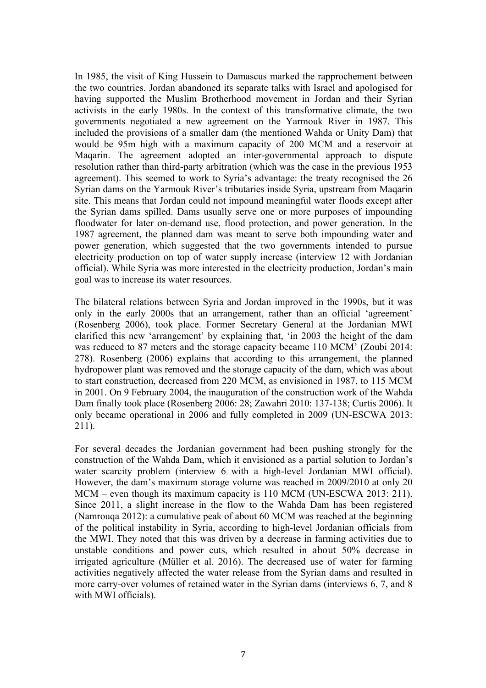In 1985, the visit of King Hussein to Damascus marked the rapprochement between the two countries. Jordan abandoned its separate talks with Israel and apologised for having supported the Muslim Brotherhood movement in Jordan and their Syrian activists in the early 1980s. In the context of this transformative climate, the two governments negotiated a new agreement on the Yarmouk River in 1987. This included the provisions of a smaller dam (the mentioned Wahda or Unity Dam) that would be 95m high with a maximum capacity of 200 MCM and a reservoir at Maqarin. The agreement adopted an inter-governmental approach to dispute resolution rather than third-party arbitration (which was the case in the previous 1953 agreement). This seemed to work to Syria's advantage: the treaty recognised the 26 Syrian dams on the Yarmouk River's tributaries inside Syria, upstream from Maqarin site. This means that Jordan could not impound meaningful water floods except after the Syrian dams spilled. Dams usually serve one or more purposes of impounding floodwater for later on-demand use, flood protection, and power generation. In the 1987 agreement, the planned dam was meant to serve both impounding water and power generation, which suggested that the two governments intended to pursue electricity production on top of water supply increase (interview 12 with Jordanian official). While Syria was more interested in the electricity production, Jordan's main goal was to increase its water resources.

The bilateral relations between Syria and Jordan improved in the 1990s, but it was only in the early 2000s that an arrangement, rather than an official 'agreement' (Rosenberg 2006), took place. Former Secretary General at the Jordanian MWI clarified this new 'arrangement' by explaining that, 'in 2003 the height of the dam was reduced to 87 meters and the storage capacity became 110 MCM' (Zoubi 2014: 278). Rosenberg (2006) explains that according to this arrangement, the planned hydropower plant was removed and the storage capacity of the dam, which was about to start construction, decreased from 220 MCM, as envisioned in 1987, to 115 MCM in 2001. On 9 February 2004, the inauguration of the construction work of the Wahda Dam finally took place (Rosenberg 2006: 28; Zawahri 2010: 137-138; Curtis 2006). It only became operational in 2006 and fully completed in 2009 (UN-ESCWA 2013: 211).

For several decades the Jordanian government had been pushing strongly for the construction of the Wahda Dam, which it envisioned as a partial solution to Jordan's water scarcity problem (interview 6 with a high-level Jordanian MWI official). However, the dam's maximum storage volume was reached in 2009/2010 at only 20 MCM – even though its maximum capacity is 110 MCM (UN-ESCWA 2013: 211). Since 2011, a slight increase in the flow to the Wahda Dam has been registered (Namrouqa 2012): a cumulative peak of about 60 MCM was reached at the beginning of the political instability in Syria, according to high-level Jordanian officials from the MWI. They noted that this was driven by a decrease in farming activities due to unstable conditions and power cuts, which resulted in about 50% decrease in irrigated agriculture (Müller et al. 2016). The decreased use of water for farming activities negatively affected the water release from the Syrian dams and resulted in more carry-over volumes of retained water in the Syrian dams (interviews 6, 7, and 8 with MWI officials).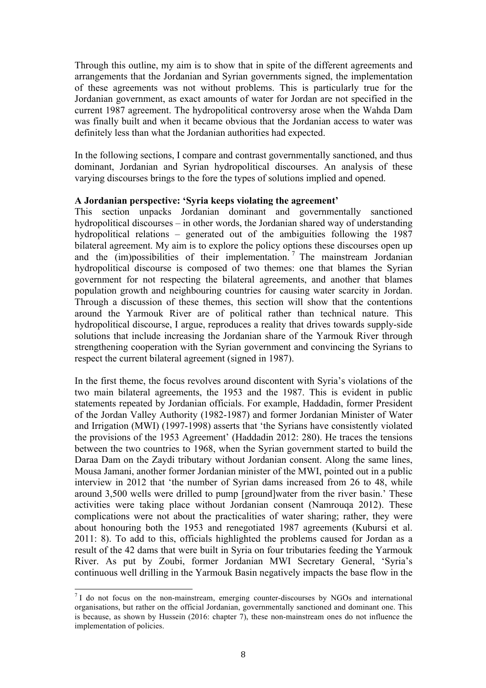Through this outline, my aim is to show that in spite of the different agreements and arrangements that the Jordanian and Syrian governments signed, the implementation of these agreements was not without problems. This is particularly true for the Jordanian government, as exact amounts of water for Jordan are not specified in the current 1987 agreement. The hydropolitical controversy arose when the Wahda Dam was finally built and when it became obvious that the Jordanian access to water was definitely less than what the Jordanian authorities had expected.

In the following sections, I compare and contrast governmentally sanctioned, and thus dominant, Jordanian and Syrian hydropolitical discourses. An analysis of these varying discourses brings to the fore the types of solutions implied and opened.

## **A Jordanian perspective: 'Syria keeps violating the agreement'**

This section unpacks Jordanian dominant and governmentally sanctioned hydropolitical discourses – in other words, the Jordanian shared way of understanding hydropolitical relations – generated out of the ambiguities following the 1987 bilateral agreement. My aim is to explore the policy options these discourses open up and the  $\overline{(m)}$  possibilities of their implementation.<sup>7</sup> The mainstream Jordanian hydropolitical discourse is composed of two themes: one that blames the Syrian government for not respecting the bilateral agreements, and another that blames population growth and neighbouring countries for causing water scarcity in Jordan. Through a discussion of these themes, this section will show that the contentions around the Yarmouk River are of political rather than technical nature. This hydropolitical discourse, I argue, reproduces a reality that drives towards supply-side solutions that include increasing the Jordanian share of the Yarmouk River through strengthening cooperation with the Syrian government and convincing the Syrians to respect the current bilateral agreement (signed in 1987).

In the first theme, the focus revolves around discontent with Syria's violations of the two main bilateral agreements, the 1953 and the 1987. This is evident in public statements repeated by Jordanian officials. For example, Haddadin, former President of the Jordan Valley Authority (1982-1987) and former Jordanian Minister of Water and Irrigation (MWI) (1997-1998) asserts that 'the Syrians have consistently violated the provisions of the 1953 Agreement' (Haddadin 2012: 280). He traces the tensions between the two countries to 1968, when the Syrian government started to build the Daraa Dam on the Zaydi tributary without Jordanian consent. Along the same lines, Mousa Jamani, another former Jordanian minister of the MWI, pointed out in a public interview in 2012 that 'the number of Syrian dams increased from 26 to 48, while around 3,500 wells were drilled to pump [ground]water from the river basin.' These activities were taking place without Jordanian consent (Namrouqa 2012). These complications were not about the practicalities of water sharing; rather, they were about honouring both the 1953 and renegotiated 1987 agreements (Kubursi et al. 2011: 8). To add to this, officials highlighted the problems caused for Jordan as a result of the 42 dams that were built in Syria on four tributaries feeding the Yarmouk River. As put by Zoubi, former Jordanian MWI Secretary General, 'Syria's continuous well drilling in the Yarmouk Basin negatively impacts the base flow in the

 $7$  I do not focus on the non-mainstream, emerging counter-discourses by NGOs and international organisations, but rather on the official Jordanian, governmentally sanctioned and dominant one. This is because, as shown by Hussein (2016: chapter 7), these non-mainstream ones do not influence the implementation of policies.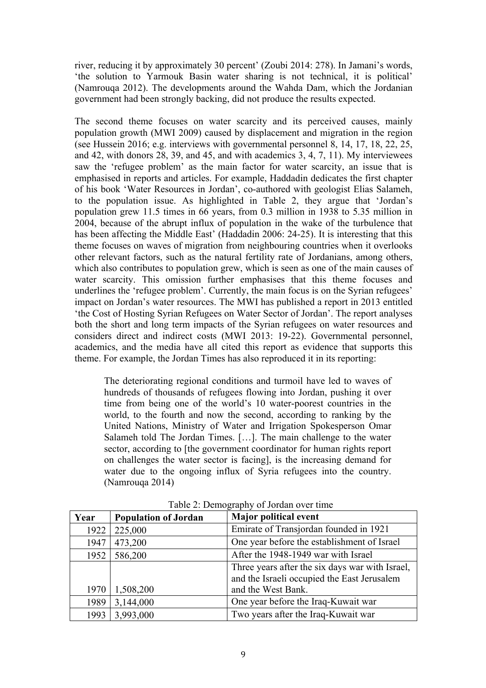river, reducing it by approximately 30 percent' (Zoubi 2014: 278). In Jamani's words, 'the solution to Yarmouk Basin water sharing is not technical, it is political' (Namrouqa 2012). The developments around the Wahda Dam, which the Jordanian government had been strongly backing, did not produce the results expected.

The second theme focuses on water scarcity and its perceived causes, mainly population growth (MWI 2009) caused by displacement and migration in the region (see Hussein 2016; e.g. interviews with governmental personnel 8, 14, 17, 18, 22, 25, and 42, with donors 28, 39, and 45, and with academics 3, 4, 7, 11). My interviewees saw the 'refugee problem' as the main factor for water scarcity, an issue that is emphasised in reports and articles. For example, Haddadin dedicates the first chapter of his book 'Water Resources in Jordan', co-authored with geologist Elias Salameh, to the population issue. As highlighted in Table 2, they argue that 'Jordan's population grew 11.5 times in 66 years, from 0.3 million in 1938 to 5.35 million in 2004, because of the abrupt influx of population in the wake of the turbulence that has been affecting the Middle East' (Haddadin 2006: 24-25). It is interesting that this theme focuses on waves of migration from neighbouring countries when it overlooks other relevant factors, such as the natural fertility rate of Jordanians, among others, which also contributes to population grew, which is seen as one of the main causes of water scarcity. This omission further emphasises that this theme focuses and underlines the 'refugee problem'. Currently, the main focus is on the Syrian refugees' impact on Jordan's water resources. The MWI has published a report in 2013 entitled 'the Cost of Hosting Syrian Refugees on Water Sector of Jordan'. The report analyses both the short and long term impacts of the Syrian refugees on water resources and considers direct and indirect costs (MWI 2013: 19-22). Governmental personnel, academics, and the media have all cited this report as evidence that supports this theme. For example, the Jordan Times has also reproduced it in its reporting:

The deteriorating regional conditions and turmoil have led to waves of hundreds of thousands of refugees flowing into Jordan, pushing it over time from being one of the world's 10 water-poorest countries in the world, to the fourth and now the second, according to ranking by the United Nations, Ministry of Water and Irrigation Spokesperson Omar Salameh told The Jordan Times. […]. The main challenge to the water sector, according to [the government coordinator for human rights report on challenges the water sector is facing], is the increasing demand for water due to the ongoing influx of Syria refugees into the country. (Namrouqa 2014)

| Year | <b>Population of Jordan</b> | <b>Major political event</b>                    |
|------|-----------------------------|-------------------------------------------------|
| 1922 | 225,000                     | Emirate of Transjordan founded in 1921          |
| 1947 | 473,200                     | One year before the establishment of Israel     |
| 1952 | 586,200                     | After the 1948-1949 war with Israel             |
|      |                             | Three years after the six days war with Israel, |
|      |                             | and the Israeli occupied the East Jerusalem     |
| 1970 | 1,508,200                   | and the West Bank.                              |
| 1989 | 3,144,000                   | One year before the Iraq-Kuwait war             |
| 1993 | 3,993,000                   | Two years after the Iraq-Kuwait war             |

Table 2: Demography of Jordan over time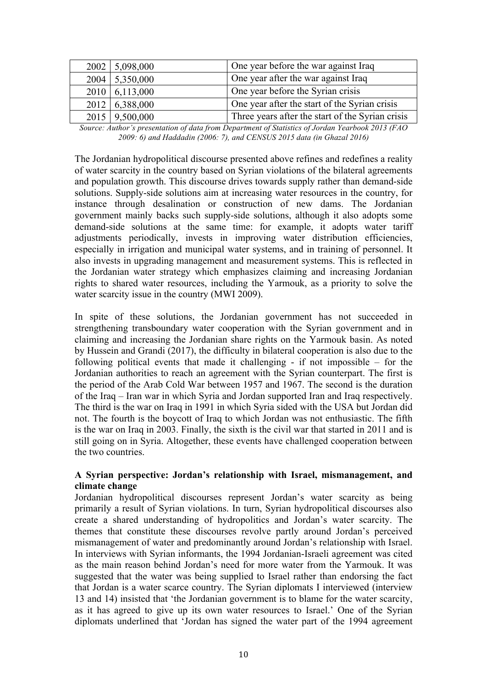|      | 2002 5,098,000            | One year before the war against Iraq             |
|------|---------------------------|--------------------------------------------------|
| 2004 | $\frac{5,350,000}{5,000}$ | One year after the war against Iraq              |
|      | $2010 \mid 6,113,000$     | One year before the Syrian crisis                |
|      | 2012 6,388,000            | One year after the start of the Syrian crisis    |
|      | $2015 \mid 9,500,000$     | Three years after the start of the Syrian crisis |

*Source: Author's presentation of data from Department of Statistics of Jordan Yearbook 2013 (FAO 2009: 6) and Haddadin (2006: 7), and CENSUS 2015 data (in Ghazal 2016)*

The Jordanian hydropolitical discourse presented above refines and redefines a reality of water scarcity in the country based on Syrian violations of the bilateral agreements and population growth. This discourse drives towards supply rather than demand-side solutions. Supply-side solutions aim at increasing water resources in the country, for instance through desalination or construction of new dams. The Jordanian government mainly backs such supply-side solutions, although it also adopts some demand-side solutions at the same time: for example, it adopts water tariff adjustments periodically, invests in improving water distribution efficiencies, especially in irrigation and municipal water systems, and in training of personnel. It also invests in upgrading management and measurement systems. This is reflected in the Jordanian water strategy which emphasizes claiming and increasing Jordanian rights to shared water resources, including the Yarmouk, as a priority to solve the water scarcity issue in the country (MWI 2009).

In spite of these solutions, the Jordanian government has not succeeded in strengthening transboundary water cooperation with the Syrian government and in claiming and increasing the Jordanian share rights on the Yarmouk basin. As noted by Hussein and Grandi (2017), the difficulty in bilateral cooperation is also due to the following political events that made it challenging - if not impossible – for the Jordanian authorities to reach an agreement with the Syrian counterpart. The first is the period of the Arab Cold War between 1957 and 1967. The second is the duration of the Iraq – Iran war in which Syria and Jordan supported Iran and Iraq respectively. The third is the war on Iraq in 1991 in which Syria sided with the USA but Jordan did not. The fourth is the boycott of Iraq to which Jordan was not enthusiastic. The fifth is the war on Iraq in 2003. Finally, the sixth is the civil war that started in 2011 and is still going on in Syria. Altogether, these events have challenged cooperation between the two countries.

## **A Syrian perspective: Jordan's relationship with Israel, mismanagement, and climate change**

Jordanian hydropolitical discourses represent Jordan's water scarcity as being primarily a result of Syrian violations. In turn, Syrian hydropolitical discourses also create a shared understanding of hydropolitics and Jordan's water scarcity. The themes that constitute these discourses revolve partly around Jordan's perceived mismanagement of water and predominantly around Jordan's relationship with Israel. In interviews with Syrian informants, the 1994 Jordanian-Israeli agreement was cited as the main reason behind Jordan's need for more water from the Yarmouk. It was suggested that the water was being supplied to Israel rather than endorsing the fact that Jordan is a water scarce country. The Syrian diplomats I interviewed (interview 13 and 14) insisted that 'the Jordanian government is to blame for the water scarcity, as it has agreed to give up its own water resources to Israel.' One of the Syrian diplomats underlined that 'Jordan has signed the water part of the 1994 agreement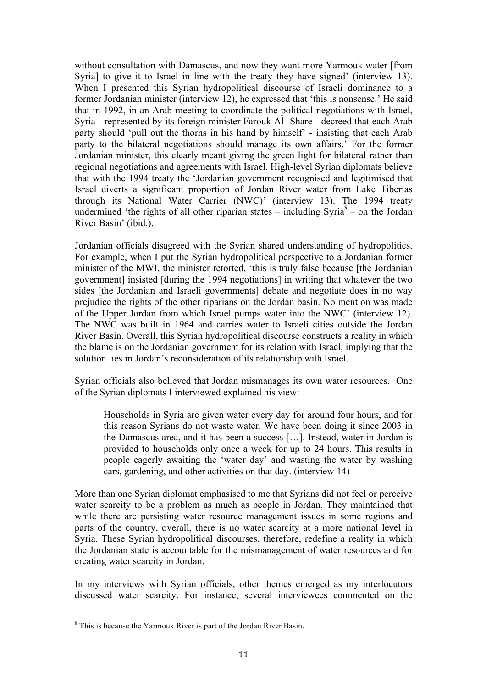without consultation with Damascus, and now they want more Yarmouk water [from Syria] to give it to Israel in line with the treaty they have signed' (interview 13). When I presented this Syrian hydropolitical discourse of Israeli dominance to a former Jordanian minister (interview 12), he expressed that 'this is nonsense.' He said that in 1992, in an Arab meeting to coordinate the political negotiations with Israel, Syria - represented by its foreign minister Farouk Al- Share - decreed that each Arab party should 'pull out the thorns in his hand by himself' - insisting that each Arab party to the bilateral negotiations should manage its own affairs.' For the former Jordanian minister, this clearly meant giving the green light for bilateral rather than regional negotiations and agreements with Israel. High-level Syrian diplomats believe that with the 1994 treaty the 'Jordanian government recognised and legitimised that Israel diverts a significant proportion of Jordan River water from Lake Tiberias through its National Water Carrier (NWC)' (interview 13). The 1994 treaty undermined 'the rights of all other riparian states – including  $Svria<sup>8</sup>$  – on the Jordan River Basin' (ibid.).

Jordanian officials disagreed with the Syrian shared understanding of hydropolitics. For example, when I put the Syrian hydropolitical perspective to a Jordanian former minister of the MWI, the minister retorted, 'this is truly false because [the Jordanian government] insisted [during the 1994 negotiations] in writing that whatever the two sides [the Jordanian and Israeli governments] debate and negotiate does in no way prejudice the rights of the other riparians on the Jordan basin. No mention was made of the Upper Jordan from which Israel pumps water into the NWC' (interview 12). The NWC was built in 1964 and carries water to Israeli cities outside the Jordan River Basin. Overall, this Syrian hydropolitical discourse constructs a reality in which the blame is on the Jordanian government for its relation with Israel, implying that the solution lies in Jordan's reconsideration of its relationship with Israel.

Syrian officials also believed that Jordan mismanages its own water resources. One of the Syrian diplomats I interviewed explained his view:

Households in Syria are given water every day for around four hours, and for this reason Syrians do not waste water. We have been doing it since 2003 in the Damascus area, and it has been a success […]. Instead, water in Jordan is provided to households only once a week for up to 24 hours. This results in people eagerly awaiting the 'water day' and wasting the water by washing cars, gardening, and other activities on that day. (interview 14)

More than one Syrian diplomat emphasised to me that Syrians did not feel or perceive water scarcity to be a problem as much as people in Jordan. They maintained that while there are persisting water resource management issues in some regions and parts of the country, overall, there is no water scarcity at a more national level in Syria. These Syrian hydropolitical discourses, therefore, redefine a reality in which the Jordanian state is accountable for the mismanagement of water resources and for creating water scarcity in Jordan.

In my interviews with Syrian officials, other themes emerged as my interlocutors discussed water scarcity. For instance, several interviewees commented on the

<sup>&</sup>lt;sup>8</sup> This is because the Yarmouk River is part of the Jordan River Basin.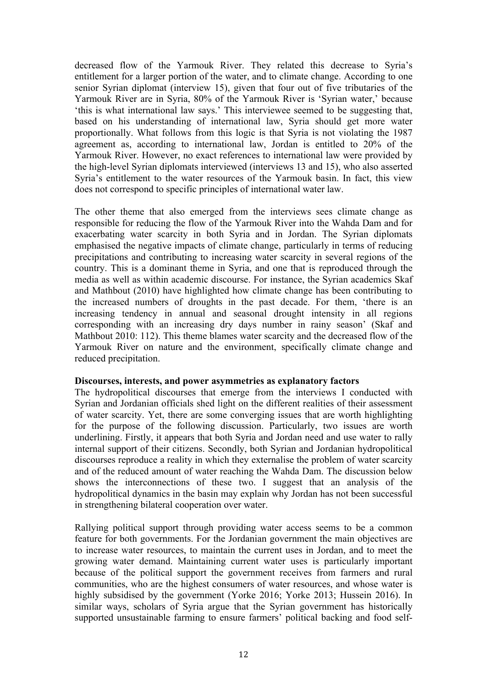decreased flow of the Yarmouk River. They related this decrease to Syria's entitlement for a larger portion of the water, and to climate change. According to one senior Syrian diplomat (interview 15), given that four out of five tributaries of the Yarmouk River are in Syria, 80% of the Yarmouk River is 'Syrian water,' because 'this is what international law says.' This interviewee seemed to be suggesting that, based on his understanding of international law, Syria should get more water proportionally. What follows from this logic is that Syria is not violating the 1987 agreement as, according to international law, Jordan is entitled to 20% of the Yarmouk River. However, no exact references to international law were provided by the high-level Syrian diplomats interviewed (interviews 13 and 15), who also asserted Syria's entitlement to the water resources of the Yarmouk basin. In fact, this view does not correspond to specific principles of international water law.

The other theme that also emerged from the interviews sees climate change as responsible for reducing the flow of the Yarmouk River into the Wahda Dam and for exacerbating water scarcity in both Syria and in Jordan. The Syrian diplomats emphasised the negative impacts of climate change, particularly in terms of reducing precipitations and contributing to increasing water scarcity in several regions of the country. This is a dominant theme in Syria, and one that is reproduced through the media as well as within academic discourse. For instance, the Syrian academics Skaf and Mathbout (2010) have highlighted how climate change has been contributing to the increased numbers of droughts in the past decade. For them, 'there is an increasing tendency in annual and seasonal drought intensity in all regions corresponding with an increasing dry days number in rainy season' (Skaf and Mathbout 2010: 112). This theme blames water scarcity and the decreased flow of the Yarmouk River on nature and the environment, specifically climate change and reduced precipitation.

#### **Discourses, interests, and power asymmetries as explanatory factors**

The hydropolitical discourses that emerge from the interviews I conducted with Syrian and Jordanian officials shed light on the different realities of their assessment of water scarcity. Yet, there are some converging issues that are worth highlighting for the purpose of the following discussion. Particularly, two issues are worth underlining. Firstly, it appears that both Syria and Jordan need and use water to rally internal support of their citizens. Secondly, both Syrian and Jordanian hydropolitical discourses reproduce a reality in which they externalise the problem of water scarcity and of the reduced amount of water reaching the Wahda Dam. The discussion below shows the interconnections of these two. I suggest that an analysis of the hydropolitical dynamics in the basin may explain why Jordan has not been successful in strengthening bilateral cooperation over water.

Rallying political support through providing water access seems to be a common feature for both governments. For the Jordanian government the main objectives are to increase water resources, to maintain the current uses in Jordan, and to meet the growing water demand. Maintaining current water uses is particularly important because of the political support the government receives from farmers and rural communities, who are the highest consumers of water resources, and whose water is highly subsidised by the government (Yorke 2016; Yorke 2013; Hussein 2016). In similar ways, scholars of Syria argue that the Syrian government has historically supported unsustainable farming to ensure farmers' political backing and food self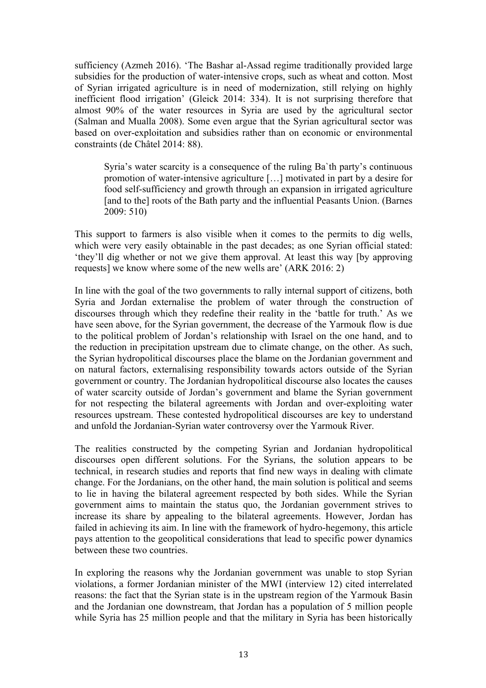sufficiency (Azmeh 2016). 'The Bashar al-Assad regime traditionally provided large subsidies for the production of water-intensive crops, such as wheat and cotton. Most of Syrian irrigated agriculture is in need of modernization, still relying on highly inefficient flood irrigation' (Gleick 2014: 334). It is not surprising therefore that almost 90% of the water resources in Syria are used by the agricultural sector (Salman and Mualla 2008). Some even argue that the Syrian agricultural sector was based on over-exploitation and subsidies rather than on economic or environmental constraints (de Châtel 2014: 88).

Syria's water scarcity is a consequence of the ruling Ba`th party's continuous promotion of water-intensive agriculture […] motivated in part by a desire for food self-sufficiency and growth through an expansion in irrigated agriculture [and to the] roots of the Bath party and the influential Peasants Union. (Barnes 2009: 510)

This support to farmers is also visible when it comes to the permits to dig wells, which were very easily obtainable in the past decades; as one Syrian official stated: 'they'll dig whether or not we give them approval. At least this way [by approving requests] we know where some of the new wells are' (ARK 2016: 2)

In line with the goal of the two governments to rally internal support of citizens, both Syria and Jordan externalise the problem of water through the construction of discourses through which they redefine their reality in the 'battle for truth.' As we have seen above, for the Syrian government, the decrease of the Yarmouk flow is due to the political problem of Jordan's relationship with Israel on the one hand, and to the reduction in precipitation upstream due to climate change, on the other. As such, the Syrian hydropolitical discourses place the blame on the Jordanian government and on natural factors, externalising responsibility towards actors outside of the Syrian government or country. The Jordanian hydropolitical discourse also locates the causes of water scarcity outside of Jordan's government and blame the Syrian government for not respecting the bilateral agreements with Jordan and over-exploiting water resources upstream. These contested hydropolitical discourses are key to understand and unfold the Jordanian-Syrian water controversy over the Yarmouk River.

The realities constructed by the competing Syrian and Jordanian hydropolitical discourses open different solutions. For the Syrians, the solution appears to be technical, in research studies and reports that find new ways in dealing with climate change. For the Jordanians, on the other hand, the main solution is political and seems to lie in having the bilateral agreement respected by both sides. While the Syrian government aims to maintain the status quo, the Jordanian government strives to increase its share by appealing to the bilateral agreements. However, Jordan has failed in achieving its aim. In line with the framework of hydro-hegemony, this article pays attention to the geopolitical considerations that lead to specific power dynamics between these two countries.

In exploring the reasons why the Jordanian government was unable to stop Syrian violations, a former Jordanian minister of the MWI (interview 12) cited interrelated reasons: the fact that the Syrian state is in the upstream region of the Yarmouk Basin and the Jordanian one downstream, that Jordan has a population of 5 million people while Syria has 25 million people and that the military in Syria has been historically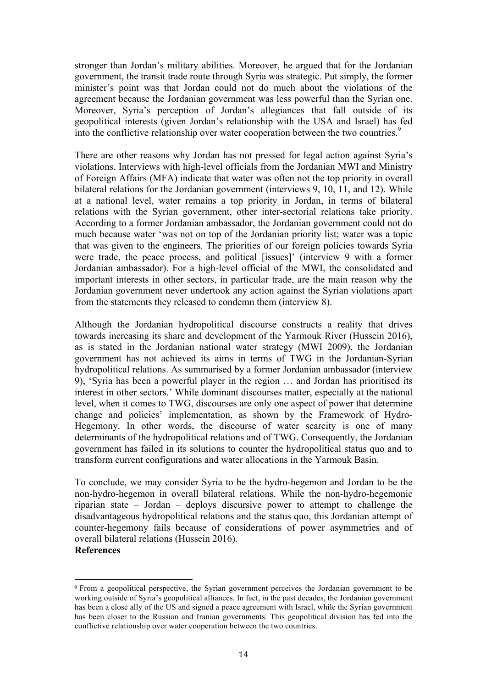stronger than Jordan's military abilities. Moreover, he argued that for the Jordanian government, the transit trade route through Syria was strategic. Put simply, the former minister's point was that Jordan could not do much about the violations of the agreement because the Jordanian government was less powerful than the Syrian one. Moreover, Syria's perception of Jordan's allegiances that fall outside of its geopolitical interests (given Jordan's relationship with the USA and Israel) has fed into the conflictive relationship over water cooperation between the two countries. 9

There are other reasons why Jordan has not pressed for legal action against Syria's violations. Interviews with high-level officials from the Jordanian MWI and Ministry of Foreign Affairs (MFA) indicate that water was often not the top priority in overall bilateral relations for the Jordanian government (interviews 9, 10, 11, and 12). While at a national level, water remains a top priority in Jordan, in terms of bilateral relations with the Syrian government, other inter-sectorial relations take priority. According to a former Jordanian ambassador, the Jordanian government could not do much because water 'was not on top of the Jordanian priority list; water was a topic that was given to the engineers. The priorities of our foreign policies towards Syria were trade, the peace process, and political [issues]' (interview 9 with a former Jordanian ambassador). For a high-level official of the MWI, the consolidated and important interests in other sectors, in particular trade, are the main reason why the Jordanian government never undertook any action against the Syrian violations apart from the statements they released to condemn them (interview 8).

Although the Jordanian hydropolitical discourse constructs a reality that drives towards increasing its share and development of the Yarmouk River (Hussein 2016), as is stated in the Jordanian national water strategy (MWI 2009), the Jordanian government has not achieved its aims in terms of TWG in the Jordanian-Syrian hydropolitical relations. As summarised by a former Jordanian ambassador (interview 9), 'Syria has been a powerful player in the region … and Jordan has prioritised its interest in other sectors.' While dominant discourses matter, especially at the national level, when it comes to TWG, discourses are only one aspect of power that determine change and policies' implementation, as shown by the Framework of Hydro-Hegemony. In other words, the discourse of water scarcity is one of many determinants of the hydropolitical relations and of TWG. Consequently, the Jordanian government has failed in its solutions to counter the hydropolitical status quo and to transform current configurations and water allocations in the Yarmouk Basin.

To conclude, we may consider Syria to be the hydro-hegemon and Jordan to be the non-hydro-hegemon in overall bilateral relations. While the non-hydro-hegemonic riparian state – Jordan – deploys discursive power to attempt to challenge the disadvantageous hydropolitical relations and the status quo, this Jordanian attempt of counter-hegemony fails because of considerations of power asymmetries and of overall bilateral relations (Hussein 2016).

### **References**

 

<sup>9</sup> From a geopolitical perspective, the Syrian government perceives the Jordanian government to be working outside of Syria's geopolitical alliances. In fact, in the past decades, the Jordanian government has been a close ally of the US and signed a peace agreement with Israel, while the Syrian government has been closer to the Russian and Iranian governments. This geopolitical division has fed into the conflictive relationship over water cooperation between the two countries.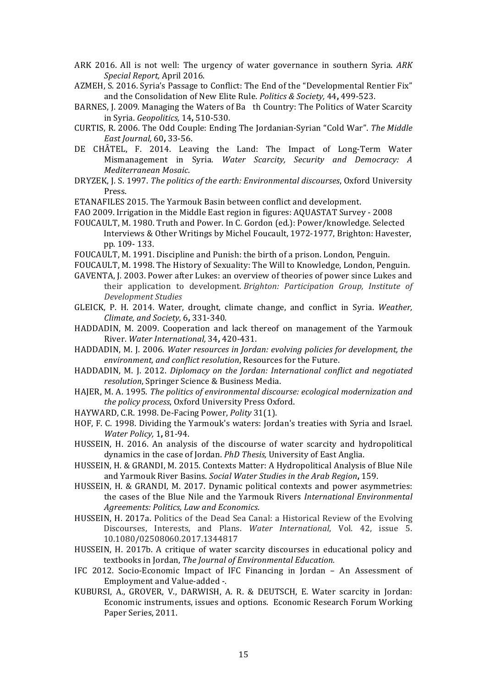- ARK 2016. All is not well: The urgency of water governance in southern Syria. *ARK Special Report,* April 2016.
- AZMEH, S. 2016. Syria's Passage to Conflict: The End of the "Developmental Rentier Fix" and the Consolidation of New Elite Rule. *Politics & Society*, 44, 499-523.
- BARNES, J. 2009. Managing the Waters of Ba th Country: The Politics of Water Scarcity in Syria. *Geopolitics,* 14**,** 510-530.
- CURTIS, R. 2006. The Odd Couple: Ending The Jordanian-Syrian "Cold War". The Middle *East Journal,* 60**,** 33-56.
- DE CHÂTEL, F. 2014. Leaving the Land: The Impact of Long-Term Water Mismanagement in Syria. *Water Scarcity, Security and Democracy: A Mediterranean Mosaic*.
- DRYZEK, J. S. 1997. *The politics of the earth: Environmental discourses*, Oxford University Press.
- ETANAFILES 2015. The Yarmouk Basin between conflict and development.
- FAO 2009. Irrigation in the Middle East region in figures: AQUASTAT Survey 2008
- FOUCAULT, M. 1980. Truth and Power. In C. Gordon (ed.): Power/knowledge. Selected Interviews & Other Writings by Michel Foucault, 1972-1977, Brighton: Havester, pp. 109- 133.
- FOUCAULT, M. 1991. Discipline and Punish: the birth of a prison. London, Penguin.
- FOUCAULT, M. 1998. The History of Sexuality: The Will to Knowledge, London, Penguin.
- GAVENTA, J. 2003. Power after Lukes: an overview of theories of power since Lukes and their application to development. *Brighton: Participation Group, Institute of Development Studies*
- GLEICK, P. H. 2014. Water, drought, climate change, and conflict in Syria. *Weather*, *Climate, and Society,* 6**,** 331-340.
- HADDADIN, M. 2009. Cooperation and lack thereof on management of the Yarmouk River. *Water International,* 34**,** 420-431.
- HADDADIN, M. J. 2006. *Water resources in Jordan: evolving policies for development, the environment, and conflict resolution*, Resources for the Future.
- HADDADIN, M. J. 2012. *Diplomacy on the Jordan: International conflict and negotiated resolution*, Springer Science & Business Media.
- HAJER, M. A. 1995. *The politics of environmental discourse: ecological modernization and the policy process*, Oxford University Press Oxford.
- HAYWARD, C.R. 1998. De-Facing Power, *Polity* 31(1).
- HOF, F. C. 1998. Dividing the Yarmouk's waters: Jordan's treaties with Syria and Israel. *Water Policy,* 1**,** 81-94.
- HUSSEIN, H. 2016. An analysis of the discourse of water scarcity and hydropolitical dynamics in the case of Jordan. *PhD Thesis*, University of East Anglia.
- HUSSEIN, H. & GRANDI, M. 2015. Contexts Matter: A Hydropolitical Analysis of Blue Nile and Yarmouk River Basins. *Social Water Studies in the Arab Region***,** 159.
- HUSSEIN, H. & GRANDI, M. 2017. Dynamic political contexts and power asymmetries: the cases of the Blue Nile and the Yarmouk Rivers *International Environmental Agreements: Politics, Law and Economics*.
- HUSSEIN, H. 2017a. Politics of the Dead Sea Canal: a Historical Review of the Evolving Discourses, Interests, and Plans. *Water International*, Vol. 42, issue 5. 10.1080/02508060.2017.1344817
- HUSSEIN, H. 2017b. A critique of water scarcity discourses in educational policy and textbooks in Jordan, *The Journal of Environmental Education*.
- IFC 2012. Socio-Economic Impact of IFC Financing in Jordan An Assessment of Employment and Value-added -.
- KUBURSI, A., GROVER, V., DARWISH, A. R. & DEUTSCH, E. Water scarcity in Jordan: Economic instruments, issues and options. Economic Research Forum Working Paper Series, 2011.